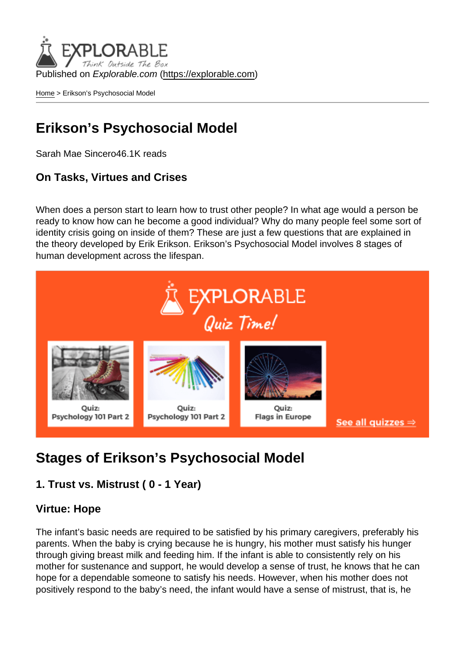Published on Explorable.com (<https://explorable.com>)

[Home](https://explorable.com/) > Erikson's Psychosocial Model

# Erikson's Psychosocial Model

Sarah Mae Sincero46.1K reads

On Tasks, Virtues and Crises

When does a person start to learn how to trust other people? In what age would a person be ready to know how can he become a good individual? Why do many people feel some sort of identity crisis going on inside of them? These are just a few questions that are explained in the theory developed by Erik Erikson. Erikson's Psychosocial Model involves 8 stages of human development across the lifespan.

# Stages of Erikson's Psychosocial Model

1. Trust vs. Mistrust ( 0 - 1 Year)

#### Virtue: Hope

The infant's basic needs are required to be satisfied by his primary caregivers, preferably his parents. When the baby is crying because he is hungry, his mother must satisfy his hunger through giving breast milk and feeding him. If the infant is able to consistently rely on his mother for sustenance and support, he would develop a sense of trust, he knows that he can hope for a dependable someone to satisfy his needs. However, when his mother does not positively respond to the baby's need, the infant would have a sense of mistrust, that is, he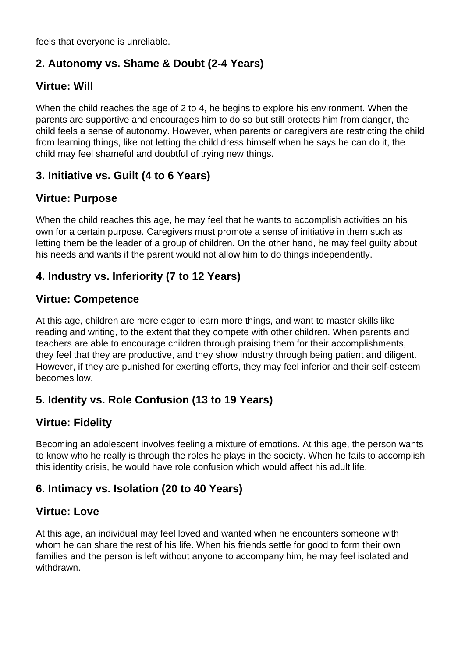feels that everyone is unreliable.

#### **2. Autonomy vs. Shame & Doubt (2-4 Years)**

#### **Virtue: Will**

When the child reaches the age of 2 to 4, he begins to explore his environment. When the parents are supportive and encourages him to do so but still protects him from danger, the child feels a sense of autonomy. However, when parents or caregivers are restricting the child from learning things, like not letting the child dress himself when he says he can do it, the child may feel shameful and doubtful of trying new things.

## **3. Initiative vs. Guilt (4 to 6 Years)**

#### **Virtue: Purpose**

When the child reaches this age, he may feel that he wants to accomplish activities on his own for a certain purpose. Caregivers must promote a sense of initiative in them such as letting them be the leader of a group of children. On the other hand, he may feel guilty about his needs and wants if the parent would not allow him to do things independently.

#### **4. Industry vs. Inferiority (7 to 12 Years)**

#### **Virtue: Competence**

At this age, children are more eager to learn more things, and want to master skills like reading and writing, to the extent that they compete with other children. When parents and teachers are able to encourage children through praising them for their accomplishments, they feel that they are productive, and they show industry through being patient and diligent. However, if they are punished for exerting efforts, they may feel inferior and their self-esteem becomes low.

#### **5. Identity vs. Role Confusion (13 to 19 Years)**

#### **Virtue: Fidelity**

Becoming an adolescent involves feeling a mixture of emotions. At this age, the person wants to know who he really is through the roles he plays in the society. When he fails to accomplish this identity crisis, he would have role confusion which would affect his adult life.

#### **6. Intimacy vs. Isolation (20 to 40 Years)**

#### **Virtue: Love**

At this age, an individual may feel loved and wanted when he encounters someone with whom he can share the rest of his life. When his friends settle for good to form their own families and the person is left without anyone to accompany him, he may feel isolated and withdrawn.